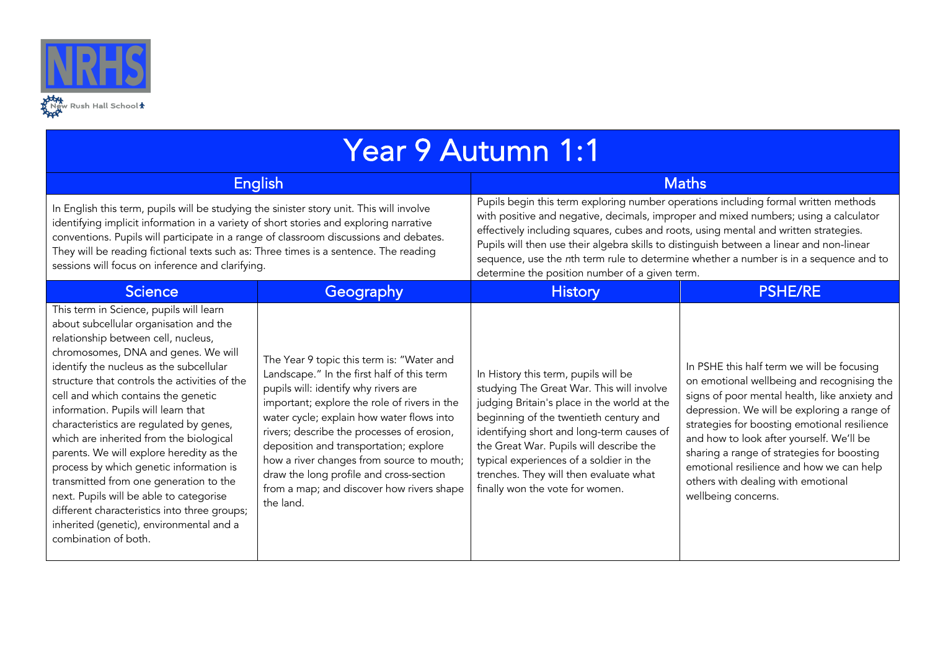

| Year 9 Autumn 1:1                                                                                                                                                                                                                                                                                                                                                                                                                                                                                                                                                                                                                                                                                                               |                                                                                                                                                                                                                                                                                                                                                                                                                                                                        |                                                                                                                                                                                                                                                                                                                                                                                                                                                                                                            |                                                                                                                                                                                                                                                                                                                                                                                                                                             |  |  |  |  |
|---------------------------------------------------------------------------------------------------------------------------------------------------------------------------------------------------------------------------------------------------------------------------------------------------------------------------------------------------------------------------------------------------------------------------------------------------------------------------------------------------------------------------------------------------------------------------------------------------------------------------------------------------------------------------------------------------------------------------------|------------------------------------------------------------------------------------------------------------------------------------------------------------------------------------------------------------------------------------------------------------------------------------------------------------------------------------------------------------------------------------------------------------------------------------------------------------------------|------------------------------------------------------------------------------------------------------------------------------------------------------------------------------------------------------------------------------------------------------------------------------------------------------------------------------------------------------------------------------------------------------------------------------------------------------------------------------------------------------------|---------------------------------------------------------------------------------------------------------------------------------------------------------------------------------------------------------------------------------------------------------------------------------------------------------------------------------------------------------------------------------------------------------------------------------------------|--|--|--|--|
|                                                                                                                                                                                                                                                                                                                                                                                                                                                                                                                                                                                                                                                                                                                                 | <b>English</b>                                                                                                                                                                                                                                                                                                                                                                                                                                                         | <b>Maths</b>                                                                                                                                                                                                                                                                                                                                                                                                                                                                                               |                                                                                                                                                                                                                                                                                                                                                                                                                                             |  |  |  |  |
| In English this term, pupils will be studying the sinister story unit. This will involve<br>identifying implicit information in a variety of short stories and exploring narrative<br>conventions. Pupils will participate in a range of classroom discussions and debates.<br>They will be reading fictional texts such as: Three times is a sentence. The reading<br>sessions will focus on inference and clarifying.                                                                                                                                                                                                                                                                                                         |                                                                                                                                                                                                                                                                                                                                                                                                                                                                        | Pupils begin this term exploring number operations including formal written methods<br>with positive and negative, decimals, improper and mixed numbers; using a calculator<br>effectively including squares, cubes and roots, using mental and written strategies.<br>Pupils will then use their algebra skills to distinguish between a linear and non-linear<br>sequence, use the nth term rule to determine whether a number is in a sequence and to<br>determine the position number of a given term. |                                                                                                                                                                                                                                                                                                                                                                                                                                             |  |  |  |  |
| <b>Science</b>                                                                                                                                                                                                                                                                                                                                                                                                                                                                                                                                                                                                                                                                                                                  | Geography                                                                                                                                                                                                                                                                                                                                                                                                                                                              | <b>History</b>                                                                                                                                                                                                                                                                                                                                                                                                                                                                                             | <b>PSHE/RE</b>                                                                                                                                                                                                                                                                                                                                                                                                                              |  |  |  |  |
| This term in Science, pupils will learn<br>about subcellular organisation and the<br>relationship between cell, nucleus,<br>chromosomes, DNA and genes. We will<br>identify the nucleus as the subcellular<br>structure that controls the activities of the<br>cell and which contains the genetic<br>information. Pupils will learn that<br>characteristics are regulated by genes,<br>which are inherited from the biological<br>parents. We will explore heredity as the<br>process by which genetic information is<br>transmitted from one generation to the<br>next. Pupils will be able to categorise<br>different characteristics into three groups;<br>inherited (genetic), environmental and a<br>combination of both. | The Year 9 topic this term is: "Water and<br>Landscape." In the first half of this term<br>pupils will: identify why rivers are<br>important; explore the role of rivers in the<br>water cycle; explain how water flows into<br>rivers; describe the processes of erosion,<br>deposition and transportation; explore<br>how a river changes from source to mouth;<br>draw the long profile and cross-section<br>from a map; and discover how rivers shape<br>the land. | In History this term, pupils will be<br>studying The Great War. This will involve<br>judging Britain's place in the world at the<br>beginning of the twentieth century and<br>identifying short and long-term causes of<br>the Great War. Pupils will describe the<br>typical experiences of a soldier in the<br>trenches. They will then evaluate what<br>finally won the vote for women.                                                                                                                 | In PSHE this half term we will be focusing<br>on emotional wellbeing and recognising the<br>signs of poor mental health, like anxiety and<br>depression. We will be exploring a range of<br>strategies for boosting emotional resilience<br>and how to look after yourself. We'll be<br>sharing a range of strategies for boosting<br>emotional resilience and how we can help<br>others with dealing with emotional<br>wellbeing concerns. |  |  |  |  |